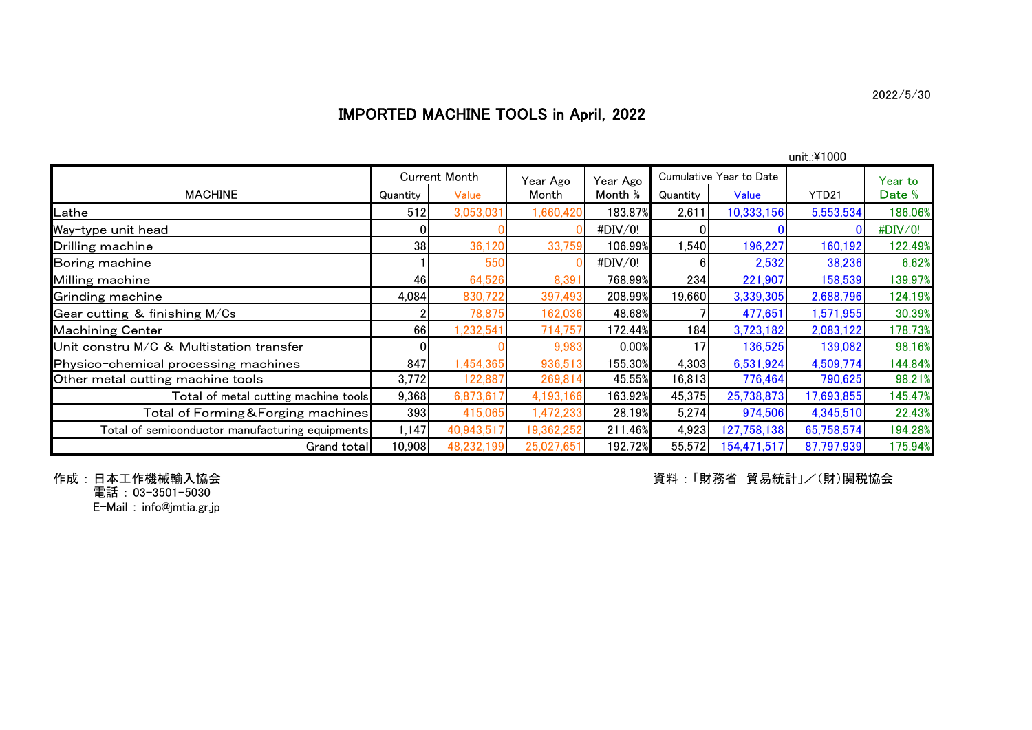## IMPORTED MACHINE TOOLS in April, 2022

|                                                 | unit.:¥1000          |            |            |          |          |                         |            |         |  |  |  |  |  |
|-------------------------------------------------|----------------------|------------|------------|----------|----------|-------------------------|------------|---------|--|--|--|--|--|
|                                                 | <b>Current Month</b> |            | Year Ago   | Year Ago |          | Cumulative Year to Date |            | Year to |  |  |  |  |  |
| <b>MACHINE</b>                                  | Quantity             | Value      | Month      | Month %  | Quantity | Value                   | YTD21      | Date %  |  |  |  |  |  |
| -athe                                           | 512                  | 3,053,031  | 1,660,420  | 183.87%  | 2,611    | 10,333,156              | 5,553,534  | 186.06% |  |  |  |  |  |
| Way-type unit head                              |                      |            |            | #DIV/0!  |          |                         |            | #DIV/0! |  |  |  |  |  |
| Drilling machine                                | 38                   | 36,120     | 33,759     | 106.99%  | 1,540    | 196,227                 | 160,192    | 122.49% |  |  |  |  |  |
| Boring machine                                  |                      | 550        |            | #DIV/0!  |          | 2,532                   | 38,236     | 6.62%   |  |  |  |  |  |
| Milling machine                                 | 46                   | 64,526     | 8,391      | 768.99%  | 234      | 221,907                 | 158,539    | 139.97% |  |  |  |  |  |
| Grinding machine                                | 4,084                | 830,722    | 397,493    | 208.99%  | 19,660   | 3,339,305               | 2,688,796  | 124.19% |  |  |  |  |  |
| Gear cutting & finishing M/Cs                   |                      | 78,875     | 162,036    | 48.68%   |          | 477,651                 | 1,571,955  | 30.39%  |  |  |  |  |  |
| <b>Machining Center</b>                         | 66                   | ,232,541   | 714,757    | 172.44%  | 184      | 3,723,182               | 2,083,122  | 178.73% |  |  |  |  |  |
| Unit constru M/C & Multistation transfer        |                      |            | 9,983      | 0.00%    | 17       | 136,525                 | 139,082    | 98.16%  |  |  |  |  |  |
| Physico-chemical processing machines            | 847                  | ,454,365   | 936,513    | 155.30%  | 4,303    | 6,531,924               | 4,509,774  | 144.84% |  |  |  |  |  |
| Other metal cutting machine tools               | 3,772                | 122,887    | 269,814    | 45.55%   | 16,813   | 776,464                 | 790,625    | 98.21%  |  |  |  |  |  |
| Total of metal cutting machine tools            | 9,368                | 6,873,617  | 4,193,166  | 163.92%  | 45,375   | 25,738,873              | 17,693,855 | 145.47% |  |  |  |  |  |
| Total of Forming & Forging machines             | 393                  | 415,065    | 1,472,233  | 28.19%   | 5,274    | 974,506                 | 4,345,510  | 22.43%  |  |  |  |  |  |
| Total of semiconductor manufacturing equipments | 1,147                | 40,943,517 | 19,362,252 | 211.46%  | 4,923    | 127,758,138             | 65,758,574 | 194.28% |  |  |  |  |  |
| Grand total                                     | 10,908               | 48,232,199 | 25,027,651 | 192.72%  | 55,572   | 154,471,517             | 87,797,939 | 175.94% |  |  |  |  |  |

作成:日本工作機械輸入協会<br>電話:03<del>-</del>3501-5030

E-Mail : info@jmtia.gr.jp

資料 : 「財務省 貿易統計」/(財)関税協会